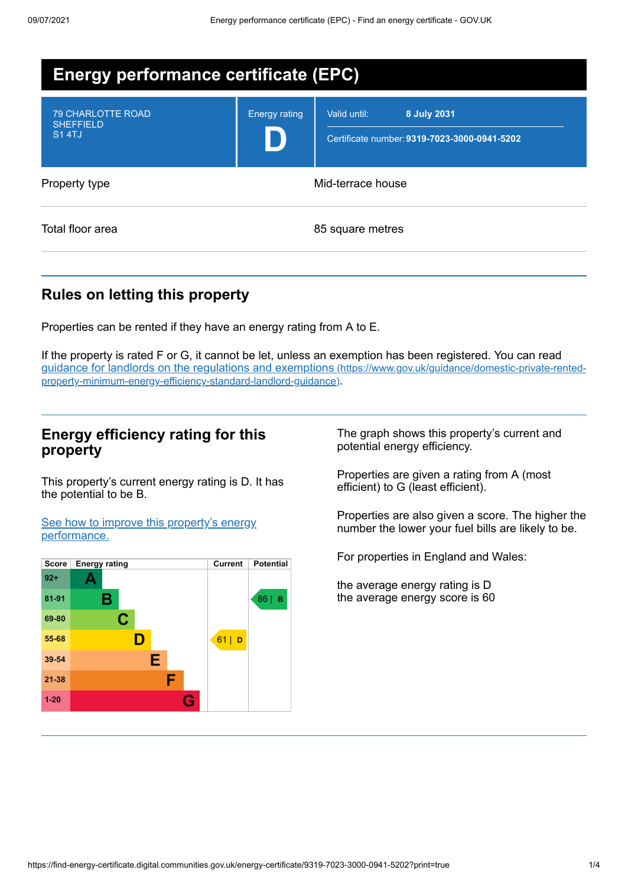| <b>Energy performance certificate (EPC)</b>                  |                      |                                                                             |  |  |
|--------------------------------------------------------------|----------------------|-----------------------------------------------------------------------------|--|--|
| <b>79 CHARLOTTE ROAD</b><br><b>SHEFFIELD</b><br><b>S14TJ</b> | <b>Energy rating</b> | 8 July 2031<br>Valid until:<br>Certificate number: 9319-7023-3000-0941-5202 |  |  |
| Property type                                                | Mid-terrace house    |                                                                             |  |  |
| Total floor area                                             |                      | 85 square metres                                                            |  |  |

# **Rules on letting this property**

Properties can be rented if they have an energy rating from A to E.

If the property is rated F or G, it cannot be let, unless an exemption has been registered. You can read guidance for landlords on the regulations and exemptions (https://www.gov.uk/guidance/domestic-private-rented[property-minimum-energy-efficiency-standard-landlord-guidance\)](https://www.gov.uk/guidance/domestic-private-rented-property-minimum-energy-efficiency-standard-landlord-guidance).

### **Energy efficiency rating for this property**

This property's current energy rating is D. It has the potential to be B.

See how to improve this property's energy [performance.](#page-2-0)



The graph shows this property's current and potential energy efficiency.

Properties are given a rating from A (most efficient) to G (least efficient).

Properties are also given a score. The higher the number the lower your fuel bills are likely to be.

For properties in England and Wales:

the average energy rating is D the average energy score is 60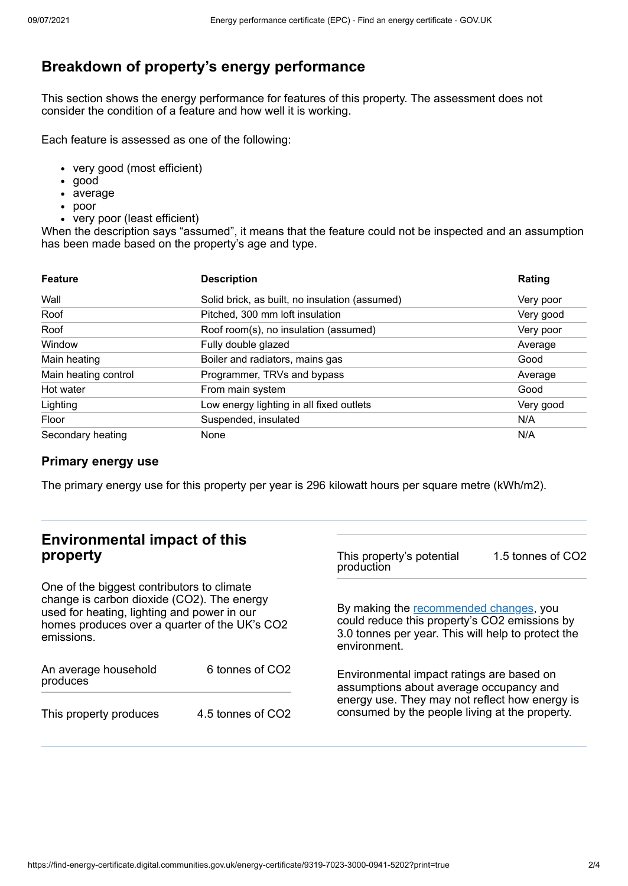# **Breakdown of property's energy performance**

This section shows the energy performance for features of this property. The assessment does not consider the condition of a feature and how well it is working.

Each feature is assessed as one of the following:

- very good (most efficient)
- good
- average
- poor
- very poor (least efficient)

When the description says "assumed", it means that the feature could not be inspected and an assumption has been made based on the property's age and type.

| <b>Feature</b>       | <b>Description</b>                             | Rating    |
|----------------------|------------------------------------------------|-----------|
| Wall                 | Solid brick, as built, no insulation (assumed) | Very poor |
| Roof                 | Pitched, 300 mm loft insulation                | Very good |
| Roof                 | Roof room(s), no insulation (assumed)          | Very poor |
| Window               | Fully double glazed                            | Average   |
| Main heating         | Boiler and radiators, mains gas                | Good      |
| Main heating control | Programmer, TRVs and bypass                    | Average   |
| Hot water            | From main system                               | Good      |
| Lighting             | Low energy lighting in all fixed outlets       | Very good |
| Floor                | Suspended, insulated                           | N/A       |
| Secondary heating    | None                                           | N/A       |

### **Primary energy use**

The primary energy use for this property per year is 296 kilowatt hours per square metre (kWh/m2).

# **Environmental impact of this property**

One of the biggest contributors to climate change is carbon dioxide (CO2). The energy used for heating, lighting and power in our homes produces over a quarter of the UK's CO2 emissions.

| An average household<br>produces | 6 tonnes of CO <sub>2</sub> |  |
|----------------------------------|-----------------------------|--|
| This property produces           | 4.5 tonnes of CO2           |  |

This property's potential production 1.5 tonnes of CO2

By making the [recommended](#page-2-0) changes, you could reduce this property's CO2 emissions by 3.0 tonnes per year. This will help to protect the environment.

Environmental impact ratings are based on assumptions about average occupancy and energy use. They may not reflect how energy is consumed by the people living at the property.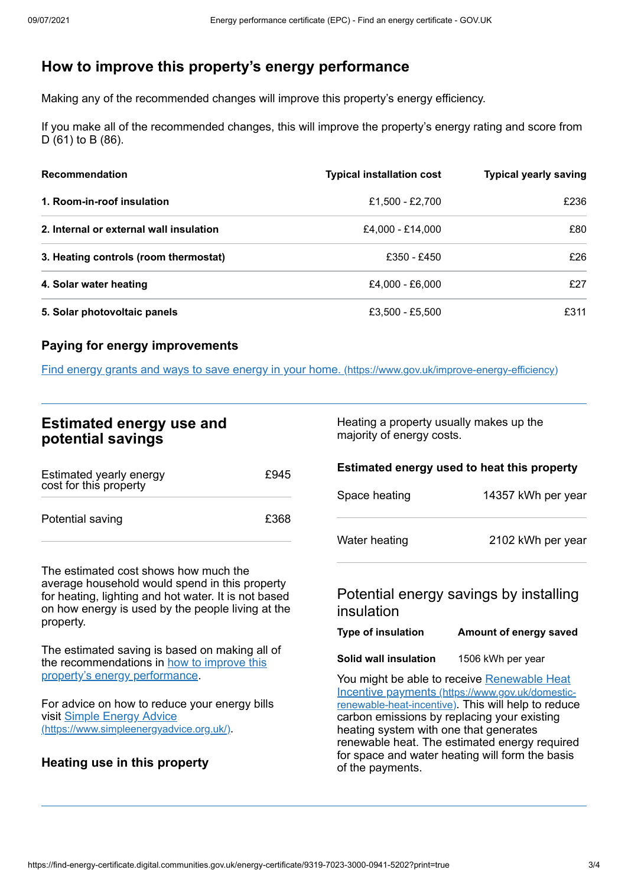# <span id="page-2-0"></span>**How to improve this property's energy performance**

Making any of the recommended changes will improve this property's energy efficiency.

If you make all of the recommended changes, this will improve the property's energy rating and score from D (61) to B (86).

| <b>Recommendation</b>                   | <b>Typical installation cost</b> | <b>Typical yearly saving</b> |
|-----------------------------------------|----------------------------------|------------------------------|
| 1. Room-in-roof insulation              | £1,500 - £2,700                  | £236                         |
| 2. Internal or external wall insulation | £4,000 - £14,000                 | £80                          |
| 3. Heating controls (room thermostat)   | £350 - £450                      | £26                          |
| 4. Solar water heating                  | £4,000 - £6,000                  | f27                          |
| 5. Solar photovoltaic panels            | £3,500 - £5,500                  | £311                         |

### **Paying for energy improvements**

Find energy grants and ways to save energy in your home. [\(https://www.gov.uk/improve-energy-efficiency\)](https://www.gov.uk/improve-energy-efficiency)

### **Estimated energy use and potential savings**

| Estimated yearly energy<br>cost for this property | £945 |
|---------------------------------------------------|------|
| Potential saving                                  | £368 |

The estimated cost shows how much the average household would spend in this property for heating, lighting and hot water. It is not based on how energy is used by the people living at the property.

The estimated saving is based on making all of the [recommendations](#page-2-0) in how to improve this property's energy performance.

For advice on how to reduce your energy bills visit Simple Energy Advice [\(https://www.simpleenergyadvice.org.uk/\)](https://www.simpleenergyadvice.org.uk/).

### **Heating use in this property**

Heating a property usually makes up the majority of energy costs.

| Space heating | 14357 kWh per year |
|---------------|--------------------|
| Water heating | 2102 kWh per year  |

**Estimated energy used to heat this property**

## Potential energy savings by installing insulation

#### **Type of insulation Amount of energy saved**

**Solid wall insulation** 1506 kWh per year

You might be able to receive Renewable Heat Incentive payments [\(https://www.gov.uk/domestic](https://www.gov.uk/domestic-renewable-heat-incentive)renewable-heat-incentive). This will help to reduce carbon emissions by replacing your existing heating system with one that generates renewable heat. The estimated energy required for space and water heating will form the basis of the payments.